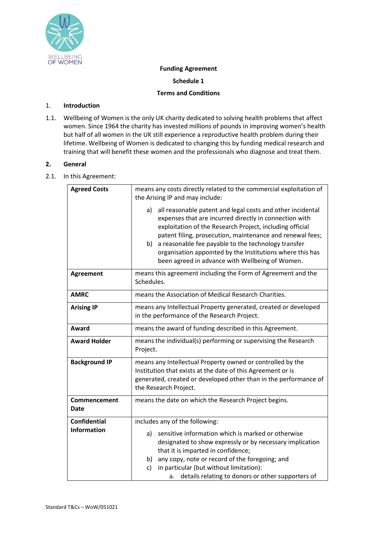

## **Funding Agreement**

**Schedule 1**

### **Terms and Conditions**

## 1. **Introduction**

1.1. Wellbeing of Women is the only UK charity dedicated to solving health problems that affect women. Since 1964 the charity has invested millions of pounds in improving women's health but half of all women in the UK still experience a reproductive health problem during their lifetime. Wellbeing of Women is dedicated to changing this by funding medical research and training that will benefit these women and the professionals who diagnose and treat them.

# **2. General**

2.1. In this Agreement:

| <b>Agreed Costs</b>  | means any costs directly related to the commercial exploitation of<br>the Arising IP and may include:                                                                                                                                                                                                                                                                                                                            |
|----------------------|----------------------------------------------------------------------------------------------------------------------------------------------------------------------------------------------------------------------------------------------------------------------------------------------------------------------------------------------------------------------------------------------------------------------------------|
|                      | all reasonable patent and legal costs and other incidental<br>a)<br>expenses that are incurred directly in connection with<br>exploitation of the Research Project, including official<br>patent filing, prosecution, maintenance and renewal fees;<br>a reasonable fee payable to the technology transfer<br>b)<br>organisation appointed by the Institutions where this has<br>been agreed in advance with Wellbeing of Women. |
| <b>Agreement</b>     | means this agreement including the Form of Agreement and the<br>Schedules.                                                                                                                                                                                                                                                                                                                                                       |
| <b>AMRC</b>          | means the Association of Medical Research Charities.                                                                                                                                                                                                                                                                                                                                                                             |
| <b>Arising IP</b>    | means any Intellectual Property generated, created or developed<br>in the performance of the Research Project.                                                                                                                                                                                                                                                                                                                   |
| Award                | means the award of funding described in this Agreement.                                                                                                                                                                                                                                                                                                                                                                          |
| <b>Award Holder</b>  | means the individual(s) performing or supervising the Research<br>Project.                                                                                                                                                                                                                                                                                                                                                       |
| <b>Background IP</b> | means any Intellectual Property owned or controlled by the<br>Institution that exists at the date of this Agreement or is<br>generated, created or developed other than in the performance of<br>the Research Project.                                                                                                                                                                                                           |
| Commencement<br>Date | means the date on which the Research Project begins.                                                                                                                                                                                                                                                                                                                                                                             |
| <b>Confidential</b>  | includes any of the following:                                                                                                                                                                                                                                                                                                                                                                                                   |
| <b>Information</b>   | sensitive information which is marked or otherwise<br>a)<br>designated to show expressly or by necessary implication<br>that it is imparted in confidence;<br>any copy, note or record of the foregoing; and<br>b)<br>in particular (but without limitation):<br>c)                                                                                                                                                              |
|                      | details relating to donors or other supporters of<br>a.                                                                                                                                                                                                                                                                                                                                                                          |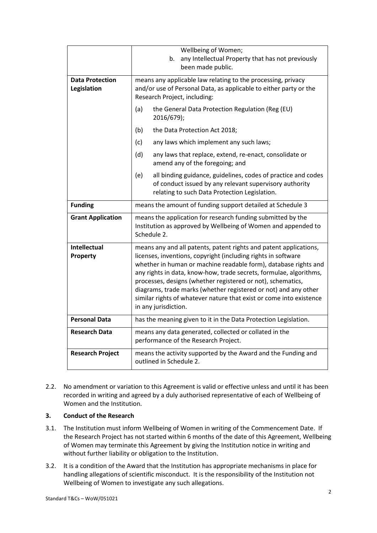|                                       | Wellbeing of Women;<br>any Intellectual Property that has not previously<br>b.<br>been made public.                                                                                                                                                                                                                                                                                                                                                                                                          |
|---------------------------------------|--------------------------------------------------------------------------------------------------------------------------------------------------------------------------------------------------------------------------------------------------------------------------------------------------------------------------------------------------------------------------------------------------------------------------------------------------------------------------------------------------------------|
|                                       |                                                                                                                                                                                                                                                                                                                                                                                                                                                                                                              |
| <b>Data Protection</b><br>Legislation | means any applicable law relating to the processing, privacy<br>and/or use of Personal Data, as applicable to either party or the<br>Research Project, including:                                                                                                                                                                                                                                                                                                                                            |
|                                       | (a)<br>the General Data Protection Regulation (Reg (EU)<br>2016/679);                                                                                                                                                                                                                                                                                                                                                                                                                                        |
|                                       | (b)<br>the Data Protection Act 2018;                                                                                                                                                                                                                                                                                                                                                                                                                                                                         |
|                                       | (c)<br>any laws which implement any such laws;                                                                                                                                                                                                                                                                                                                                                                                                                                                               |
|                                       | (d)<br>any laws that replace, extend, re-enact, consolidate or<br>amend any of the foregoing; and                                                                                                                                                                                                                                                                                                                                                                                                            |
|                                       | (e)<br>all binding guidance, guidelines, codes of practice and codes<br>of conduct issued by any relevant supervisory authority<br>relating to such Data Protection Legislation.                                                                                                                                                                                                                                                                                                                             |
| <b>Funding</b>                        | means the amount of funding support detailed at Schedule 3                                                                                                                                                                                                                                                                                                                                                                                                                                                   |
| <b>Grant Application</b>              | means the application for research funding submitted by the<br>Institution as approved by Wellbeing of Women and appended to<br>Schedule 2.                                                                                                                                                                                                                                                                                                                                                                  |
| <b>Intellectual</b><br>Property       | means any and all patents, patent rights and patent applications,<br>licenses, inventions, copyright (including rights in software<br>whether in human or machine readable form), database rights and<br>any rights in data, know-how, trade secrets, formulae, algorithms,<br>processes, designs (whether registered or not), schematics,<br>diagrams, trade marks (whether registered or not) and any other<br>similar rights of whatever nature that exist or come into existence<br>in any jurisdiction. |
| <b>Personal Data</b>                  | has the meaning given to it in the Data Protection Legislation.                                                                                                                                                                                                                                                                                                                                                                                                                                              |
| Research Data                         | means any data generated, collected or collated in the<br>performance of the Research Project.                                                                                                                                                                                                                                                                                                                                                                                                               |
| <b>Research Project</b>               | means the activity supported by the Award and the Funding and<br>outlined in Schedule 2.                                                                                                                                                                                                                                                                                                                                                                                                                     |

2.2. No amendment or variation to this Agreement is valid or effective unless and until it has been recorded in writing and agreed by a duly authorised representative of each of Wellbeing of Women and the Institution.

#### **3. Conduct of the Research**

- 3.1. The Institution must inform Wellbeing of Women in writing of the Commencement Date. If the Research Project has not started within 6 months of the date of this Agreement, Wellbeing of Women may terminate this Agreement by giving the Institution notice in writing and without further liability or obligation to the Institution.
- 3.2. It is a condition of the Award that the Institution has appropriate mechanisms in place for handling allegations of scientific misconduct. It is the responsibility of the Institution not Wellbeing of Women to investigate any such allegations.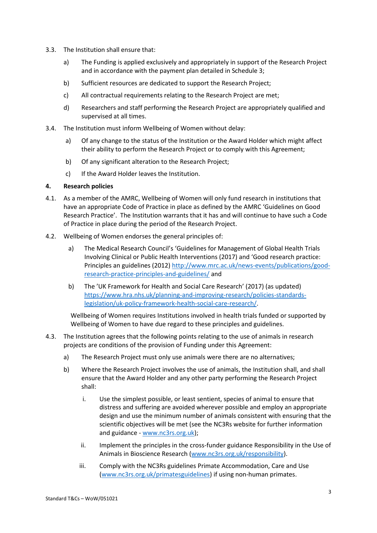- 3.3. The Institution shall ensure that:
	- a) The Funding is applied exclusively and appropriately in support of the Research Project and in accordance with the payment plan detailed in Schedule 3;
	- b) Sufficient resources are dedicated to support the Research Project;
	- c) All contractual requirements relating to the Research Project are met;
	- d) Researchers and staff performing the Research Project are appropriately qualified and supervised at all times.
- 3.4. The Institution must inform Wellbeing of Women without delay:
	- a) Of any change to the status of the Institution or the Award Holder which might affect their ability to perform the Research Project or to comply with this Agreement;
	- b) Of any significant alteration to the Research Project;
	- c) If the Award Holder leaves the Institution.

#### <span id="page-2-0"></span>**4. Research policies**

- 4.1. As a member of the AMRC, Wellbeing of Women will only fund research in institutions that have an appropriate Code of Practice in place as defined by the AMRC 'Guidelines on Good Research Practice'. The Institution warrants that it has and will continue to have such a Code of Practice in place during the period of the Research Project.
- 4.2. Wellbeing of Women endorses the general principles of:
	- a) The Medical Research Council's 'Guidelines for Management of Global Health Trials Involving Clinical or Public Health Interventions (2017) and 'Good research practice: Principles an guidelines (2012[\) http://www.mrc.ac.uk/news-events/publications/good](http://www.mrc.ac.uk/news-events/publications/good-research-practice-principles-and-guidelines/)[research-practice-principles-and-guidelines/](http://www.mrc.ac.uk/news-events/publications/good-research-practice-principles-and-guidelines/) and
	- b) The 'UK Framework for Health and Social Care Research' (2017) (as updated) [https://www.hra.nhs.uk/planning-and-improving-research/policies-standards](https://www.hra.nhs.uk/planning-and-improving-research/policies-standards-legislation/uk-policy-framework-health-social-care-research/)[legislation/uk-policy-framework-health-social-care-research/.](https://www.hra.nhs.uk/planning-and-improving-research/policies-standards-legislation/uk-policy-framework-health-social-care-research/)

Wellbeing of Women requires Institutions involved in health trials funded or supported by Wellbeing of Women to have due regard to these principles and guidelines.

- 4.3. The Institution agrees that the following points relating to the use of animals in research projects are conditions of the provision of Funding under this Agreement:
	- a) The Research Project must only use animals were there are no alternatives;
	- b) Where the Research Project involves the use of animals, the Institution shall, and shall ensure that the Award Holder and any other party performing the Research Project shall:
		- i. Use the simplest possible, or least sentient, species of animal to ensure that distress and suffering are avoided wherever possible and employ an appropriate design and use the minimum number of animals consistent with ensuring that the scientific objectives will be met (see the NC3Rs website for further information and guidance - [www.nc3rs.org.uk\)](http://www.nc3rs.org.uk/);
		- ii. Implement the principles in the cross-funder guidance Responsibility in the Use of Animals in Bioscience Research [\(www.nc3rs.org.uk/responsibility\)](http://www.nc3rs.org.uk/responsibility).
		- iii. Comply with the NC3Rs guidelines Primate Accommodation, Care and Use [\(www.nc3rs.org.uk/primatesguidelines\)](http://www.nc3rs.org.uk/primatesguidelines) if using non-human primates.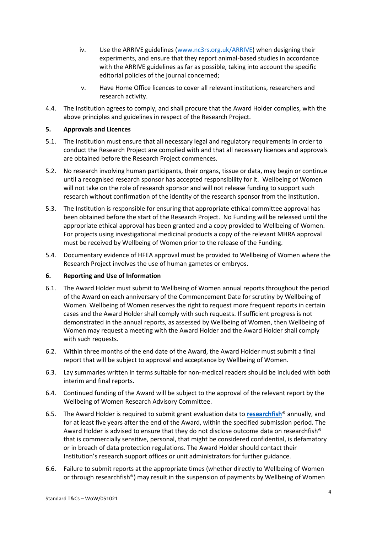- iv. Use the ARRIVE guidelines [\(www.nc3rs.org.uk/ARRIVE\)](http://www.nc3rs.org.uk/ARRIVE) when designing their experiments, and ensure that they report animal-based studies in accordance with the ARRIVE guidelines as far as possible, taking into account the specific editorial policies of the journal concerned;
- v. Have Home Office licences to cover all relevant institutions, researchers and research activity.
- 4.4. The Institution agrees to comply, and shall procure that the Award Holder complies, with the above principles and guidelines in respect of the Research Project.

### **5. Approvals and Licences**

- 5.1. The Institution must ensure that all necessary legal and regulatory requirements in order to conduct the Research Project are complied with and that all necessary licences and approvals are obtained before the Research Project commences.
- 5.2. No research involving human participants, their organs, tissue or data, may begin or continue until a recognised research sponsor has accepted responsibility for it. Wellbeing of Women will not take on the role of research sponsor and will not release funding to support such research without confirmation of the identity of the research sponsor from the Institution.
- 5.3. The Institution is responsible for ensuring that appropriate ethical committee approval has been obtained before the start of the Research Project. No Funding will be released until the appropriate ethical approval has been granted and a copy provided to Wellbeing of Women. For projects using investigational medicinal products a copy of the relevant MHRA approval must be received by Wellbeing of Women prior to the release of the Funding.
- 5.4. Documentary evidence of HFEA approval must be provided to Wellbeing of Women where the Research Project involves the use of human gametes or embryos.

#### <span id="page-3-0"></span>**6. Reporting and Use of Information**

- 6.1. The Award Holder must submit to Wellbeing of Women annual reports throughout the period of the Award on each anniversary of the Commencement Date for scrutiny by Wellbeing of Women. Wellbeing of Women reserves the right to request more frequent reports in certain cases and the Award Holder shall comply with such requests. If sufficient progress is not demonstrated in the annual reports, as assessed by Wellbeing of Women, then Wellbeing of Women may request a meeting with the Award Holder and the Award Holder shall comply with such requests.
- 6.2. Within three months of the end date of the Award, the Award Holder must submit a final report that will be subject to approval and acceptance by Wellbeing of Women.
- 6.3. Lay summaries written in terms suitable for non-medical readers should be included with both interim and final reports.
- 6.4. Continued funding of the Award will be subject to the approval of the relevant report by the Wellbeing of Women Research Advisory Committee.
- 6.5. The Award Holder is required to submit grant evaluation data to **[researchfish](https://www.researchfish.com/)**® annually, and for at least five years after the end of the Award, within the specified submission period. The Award Holder is advised to ensure that they do not disclose outcome data on researchfish® that is commercially sensitive, personal, that might be considered confidential, is defamatory or in breach of data protection regulations. The Award Holder should contact their Institution's research support offices or unit administrators for further guidance.
- 6.6. Failure to submit reports at the appropriate times (whether directly to Wellbeing of Women or through researchfish®) may result in the suspension of payments by Wellbeing of Women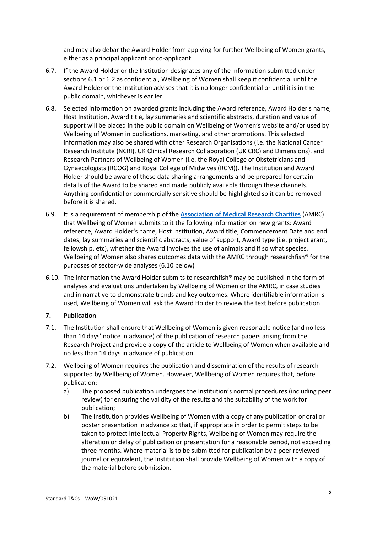and may also debar the Award Holder from applying for further Wellbeing of Women grants, either as a principal applicant or co-applicant.

- 6.7. If the Award Holder or the Institution designates any of the information submitted under sections 6.1 or 6.2 as confidential, Wellbeing of Women shall keep it confidential until the Award Holder or the Institution advises that it is no longer confidential or until it is in the public domain, whichever is earlier.
- 6.8. Selected information on awarded grants including the Award reference, Award Holder's name, Host Institution, Award title, lay summaries and scientific abstracts, duration and value of support will be placed in the public domain on Wellbeing of Women's website and/or used by Wellbeing of Women in publications, marketing, and other promotions. This selected information may also be shared with other Research Organisations (i.e. the National Cancer Research Institute (NCRI), UK Clinical Research Collaboration (UK CRC) and Dimensions), and Research Partners of Wellbeing of Women (i.e. the Royal College of Obstetricians and Gynaecologists (RCOG) and Royal College of Midwives (RCM)). The Institution and Award Holder should be aware of these data sharing arrangements and be prepared for certain details of the Award to be shared and made publicly available through these channels. Anything confidential or commercially sensitive should be highlighted so it can be removed before it is shared.
- 6.9. It is a requirement of membership of the **[Association of Medical Research Charities](http://www.amrc.org.uk/)** (AMRC) that Wellbeing of Women submits to it the following information on new grants: Award reference, Award Holder's name, Host Institution, Award title, Commencement Date and end dates, lay summaries and scientific abstracts, value of support, Award type (i.e. project grant, fellowship, etc), whether the Award involves the use of animals and if so what species. Wellbeing of Women also shares outcomes data with the AMRC through researchfish<sup>®</sup> for the purposes of sector-wide analyses (6.10 below)
- 6.10. The information the Award Holder submits to researchfish® may be published in the form of analyses and evaluations undertaken by Wellbeing of Women or the AMRC, in case studies and in narrative to demonstrate trends and key outcomes. Where identifiable information is used, Wellbeing of Women will ask the Award Holder to review the text before publication.

#### <span id="page-4-0"></span>**7. Publication**

- 7.1. The Institution shall ensure that Wellbeing of Women is given reasonable notice (and no less than 14 days' notice in advance) of the publication of research papers arising from the Research Project and provide a copy of the article to Wellbeing of Women when available and no less than 14 days in advance of publication.
- 7.2. Wellbeing of Women requires the publication and dissemination of the results of research supported by Wellbeing of Women. However, Wellbeing of Women requires that, before publication:
	- a) The proposed publication undergoes the Institution's normal procedures (including peer review) for ensuring the validity of the results and the suitability of the work for publication;
	- b) The Institution provides Wellbeing of Women with a copy of any publication or oral or poster presentation in advance so that, if appropriate in order to permit steps to be taken to protect Intellectual Property Rights, Wellbeing of Women may require the alteration or delay of publication or presentation for a reasonable period, not exceeding three months. Where material is to be submitted for publication by a peer reviewed journal or equivalent, the Institution shall provide Wellbeing of Women with a copy of the material before submission.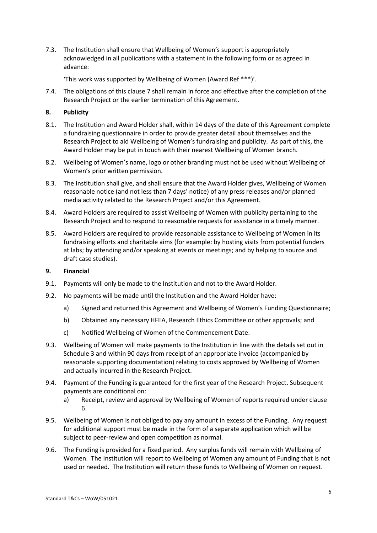7.3. The Institution shall ensure that Wellbeing of Women's support is appropriately acknowledged in all publications with a statement in the following form or as agreed in advance:

'This work was supported by Wellbeing of Women (Award Ref \*\*\*)'.

7.4. The obligations of this clause [7](#page-4-0) shall remain in force and effective after the completion of the Research Project or the earlier termination of this Agreement.

### **8. Publicity**

- 8.1. The Institution and Award Holder shall, within 14 days of the date of this Agreement complete a fundraising questionnaire in order to provide greater detail about themselves and the Research Project to aid Wellbeing of Women's fundraising and publicity. As part of this, the Award Holder may be put in touch with their nearest Wellbeing of Women branch.
- 8.2. Wellbeing of Women's name, logo or other branding must not be used without Wellbeing of Women's prior written permission.
- 8.3. The Institution shall give, and shall ensure that the Award Holder gives, Wellbeing of Women reasonable notice (and not less than 7 days' notice) of any press releases and/or planned media activity related to the Research Project and/or this Agreement.
- 8.4. Award Holders are required to assist Wellbeing of Women with publicity pertaining to the Research Project and to respond to reasonable requests for assistance in a timely manner.
- 8.5. Award Holders are required to provide reasonable assistance to Wellbeing of Women in its fundraising efforts and charitable aims (for example: by hosting visits from potential funders at labs; by attending and/or speaking at events or meetings; and by helping to source and draft case studies).

#### **9. Financial**

- 9.1. Payments will only be made to the Institution and not to the Award Holder.
- 9.2. No payments will be made until the Institution and the Award Holder have:
	- a) Signed and returned this Agreement and Wellbeing of Women's Funding Questionnaire;
	- b) Obtained any necessary HFEA, Research Ethics Committee or other approvals; and
	- c) Notified Wellbeing of Women of the Commencement Date.
- 9.3. Wellbeing of Women will make payments to the Institution in line with the details set out in Schedule 3 and within 90 days from receipt of an appropriate invoice (accompanied by reasonable supporting documentation) relating to costs approved by Wellbeing of Women and actually incurred in the Research Project.
- 9.4. Payment of the Funding is guaranteed for the first year of the Research Project. Subsequent payments are conditional on:
	- a) Receipt, review and approval by Wellbeing of Women of reports required under clause [6.](#page-3-0)
- 9.5. Wellbeing of Women is not obliged to pay any amount in excess of the Funding. Any request for additional support must be made in the form of a separate application which will be subject to peer-review and open competition as normal.
- 9.6. The Funding is provided for a fixed period. Any surplus funds will remain with Wellbeing of Women. The Institution will report to Wellbeing of Women any amount of Funding that is not used or needed. The Institution will return these funds to Wellbeing of Women on request.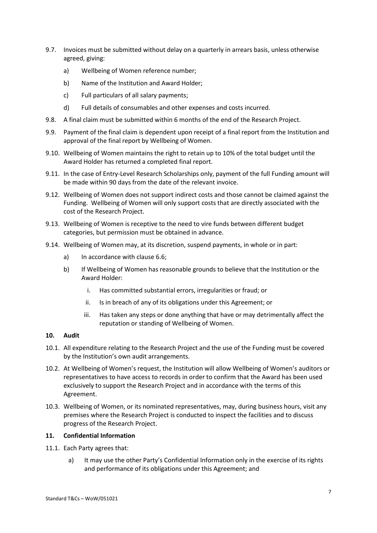- 9.7. Invoices must be submitted without delay on a quarterly in arrears basis, unless otherwise agreed, giving:
	- a) Wellbeing of Women reference number;
	- b) Name of the Institution and Award Holder;
	- c) Full particulars of all salary payments;
	- d) Full details of consumables and other expenses and costs incurred.
- 9.8. A final claim must be submitted within 6 months of the end of the Research Project.
- 9.9. Payment of the final claim is dependent upon receipt of a final report from the Institution and approval of the final report by Wellbeing of Women.
- 9.10. Wellbeing of Women maintains the right to retain up to 10% of the total budget until the Award Holder has returned a completed final report.
- 9.11. In the case of Entry-Level Research Scholarships only, payment of the full Funding amount will be made within 90 days from the date of the relevant invoice.
- 9.12. Wellbeing of Women does not support indirect costs and those cannot be claimed against the Funding. Wellbeing of Women will only support costs that are directly associated with the cost of the Research Project.
- 9.13. Wellbeing of Women is receptive to the need to vire funds between different budget categories, but permission must be obtained in advance.
- 9.14. Wellbeing of Women may, at its discretion, suspend payments, in whole or in part:
	- a) In accordance with clause 6.6;
	- b) If Wellbeing of Women has reasonable grounds to believe that the Institution or the Award Holder:
		- i. Has committed substantial errors, irregularities or fraud; or
		- ii. Is in breach of any of its obligations under this Agreement; or
		- iii. Has taken any steps or done anything that have or may detrimentally affect the reputation or standing of Wellbeing of Women.

#### **10. Audit**

- 10.1. All expenditure relating to the Research Project and the use of the Funding must be covered by the Institution's own audit arrangements.
- 10.2. At Wellbeing of Women's request, the Institution will allow Wellbeing of Women's auditors or representatives to have access to records in order to confirm that the Award has been used exclusively to support the Research Project and in accordance with the terms of this Agreement.
- 10.3. Wellbeing of Women, or its nominated representatives, may, during business hours, visit any premises where the Research Project is conducted to inspect the facilities and to discuss progress of the Research Project.

#### <span id="page-6-0"></span>**11. Confidential Information**

- 11.1. Each Party agrees that:
	- a) It may use the other Party's Confidential Information only in the exercise of its rights and performance of its obligations under this Agreement; and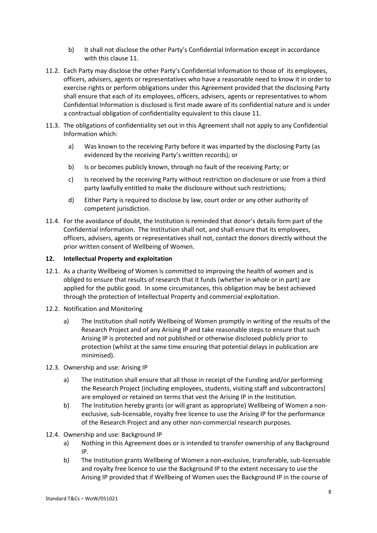- b) It shall not disclose the other Party's Confidential Information except in accordance with this clause [11.](#page-6-0)
- 11.2. Each Party may disclose the other Party's Confidential Information to those of its employees, officers, advisers, agents or representatives who have a reasonable need to know it in order to exercise rights or perform obligations under this Agreement provided that the disclosing Party shall ensure that each of its employees, officers, advisers, agents or representatives to whom Confidential Information is disclosed is first made aware of its confidential nature and is under a contractual obligation of confidentiality equivalent to this clause [11.](#page-6-0)
- 11.3. The obligations of confidentiality set out in this Agreement shall not apply to any Confidential Information which:
	- a) Was known to the receiving Party before it was imparted by the disclosing Party (as evidenced by the receiving Party's written records); or
	- b) Is or becomes publicly known, through no fault of the receiving Party; or
	- c) Is received by the receiving Party without restriction on disclosure or use from a third party lawfully entitled to make the disclosure without such restrictions;
	- d) Either Party is required to disclose by law, court order or any other authority of competent jurisdiction.
- 11.4. For the avoidance of doubt, the Institution is reminded that donor's details form part of the Confidential Information. The Institution shall not, and shall ensure that its employees, officers, advisers, agents or representatives shall not, contact the donors directly without the prior written consent of Wellbeing of Women.

## **12. Intellectual Property and exploitation**

- 12.1. As a charity Wellbeing of Women is committed to improving the health of women and is obliged to ensure that results of research that it funds (whether in whole or in part) are applied for the public good. In some circumstances, this obligation may be best achieved through the protection of Intellectual Property and commercial exploitation.
- 12.2. Notification and Monitoring
	- a) The Institution shall notify Wellbeing of Women promptly in writing of the results of the Research Project and of any Arising IP and take reasonable steps to ensure that such Arising IP is protected and not published or otherwise disclosed publicly prior to protection (whilst at the same time ensuring that potential delays in publication are minimised).
- 12.3. Ownership and use: Arising IP
	- a) The Institution shall ensure that all those in receipt of the Funding and/or performing the Research Project (including employees, students, visiting staff and subcontractors) are employed or retained on terms that vest the Arising IP in the Institution.
	- b) The Institution hereby grants (or will grant as appropriate) Wellbeing of Women a nonexclusive, sub-licensable, royalty free licence to use the Arising IP for the performance of the Research Project and any other non-commercial research purposes.
- 12.4. Ownership and use: Background IP
	- a) Nothing in this Agreement does or is intended to transfer ownership of any Background IP.
	- b) The Institution grants Wellbeing of Women a non-exclusive, transferable, sub-licensable and royalty free licence to use the Background IP to the extent necessary to use the Arising IP provided that if Wellbeing of Women uses the Background IP in the course of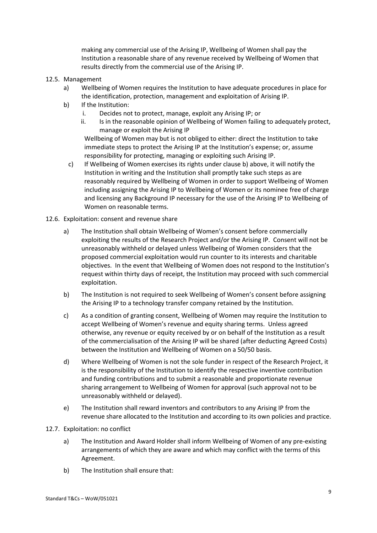making any commercial use of the Arising IP, Wellbeing of Women shall pay the Institution a reasonable share of any revenue received by Wellbeing of Women that results directly from the commercial use of the Arising IP.

#### 12.5. Management

- a) Wellbeing of Women requires the Institution to have adequate procedures in place for the identification, protection, management and exploitation of Arising IP.
- <span id="page-8-0"></span>b) If the Institution:
	- i. Decides not to protect, manage, exploit any Arising IP; or
	- ii. Is in the reasonable opinion of Wellbeing of Women failing to adequately protect, manage or exploit the Arising IP

Wellbeing of Women may but is not obliged to either: direct the Institution to take immediate steps to protect the Arising IP at the Institution's expense; or, assume responsibility for protecting, managing or exploiting such Arising IP.

- c) If Wellbeing of Women exercises its rights under clause [b\)](#page-8-0) above, it will notify the Institution in writing and the Institution shall promptly take such steps as are reasonably required by Wellbeing of Women in order to support Wellbeing of Women including assigning the Arising IP to Wellbeing of Women or its nominee free of charge and licensing any Background IP necessary for the use of the Arising IP to Wellbeing of Women on reasonable terms.
- 12.6. Exploitation: consent and revenue share
	- a) The Institution shall obtain Wellbeing of Women's consent before commercially exploiting the results of the Research Project and/or the Arising IP. Consent will not be unreasonably withheld or delayed unless Wellbeing of Women considers that the proposed commercial exploitation would run counter to its interests and charitable objectives. In the event that Wellbeing of Women does not respond to the Institution's request within thirty days of receipt, the Institution may proceed with such commercial exploitation.
	- b) The Institution is not required to seek Wellbeing of Women's consent before assigning the Arising IP to a technology transfer company retained by the Institution.
	- c) As a condition of granting consent, Wellbeing of Women may require the Institution to accept Wellbeing of Women's revenue and equity sharing terms. Unless agreed otherwise, any revenue or equity received by or on behalf of the Institution as a result of the commercialisation of the Arising IP will be shared (after deducting Agreed Costs) between the Institution and Wellbeing of Women on a 50/50 basis.
	- d) Where Wellbeing of Women is not the sole funder in respect of the Research Project, it is the responsibility of the Institution to identify the respective inventive contribution and funding contributions and to submit a reasonable and proportionate revenue sharing arrangement to Wellbeing of Women for approval (such approval not to be unreasonably withheld or delayed).
	- e) The Institution shall reward inventors and contributors to any Arising IP from the revenue share allocated to the Institution and according to its own policies and practice.
- 12.7. Exploitation: no conflict
	- a) The Institution and Award Holder shall inform Wellbeing of Women of any pre-existing arrangements of which they are aware and which may conflict with the terms of this Agreement.
	- b) The Institution shall ensure that: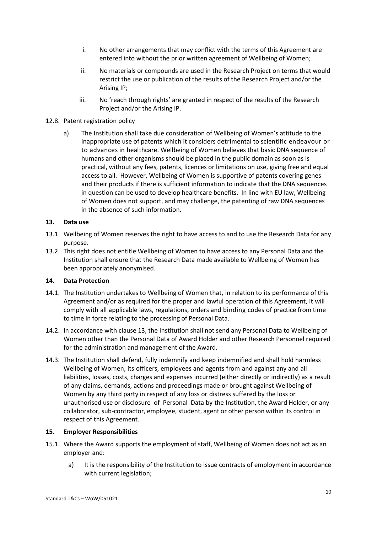- i. No other arrangements that may conflict with the terms of this Agreement are entered into without the prior written agreement of Wellbeing of Women;
- ii. No materials or compounds are used in the Research Project on terms that would restrict the use or publication of the results of the Research Project and/or the Arising IP;
- iii. No 'reach through rights' are granted in respect of the results of the Research Project and/or the Arising IP.

#### 12.8. Patent registration policy

a) The Institution shall take due consideration of Wellbeing of Women's attitude to the inappropriate use of patents which it considers detrimental to scientific endeavour or to advances in healthcare. Wellbeing of Women believes that basic DNA sequence of humans and other organisms should be placed in the public domain as soon as is practical, without any fees, patents, licences or limitations on use, giving free and equal access to all. However, Wellbeing of Women is supportive of patents covering genes and their products if there is sufficient information to indicate that the DNA sequences in question can be used to develop healthcare benefits. In line with EU law, Wellbeing of Women does not support, and may challenge, the patenting of raw DNA sequences in the absence of such information.

#### **13. Data use**

- 13.1. Wellbeing of Women reserves the right to have access to and to use the Research Data for any purpose.
- 13.2. This right does not entitle Wellbeing of Women to have access to any Personal Data and the Institution shall ensure that the Research Data made available to Wellbeing of Women has been appropriately anonymised.

# <span id="page-9-0"></span>**14. Data Protection**

- 14.1. The Institution undertakes to Wellbeing of Women that, in relation to its performance of this Agreement and/or as required for the proper and lawful operation of this Agreement, it will comply with all applicable laws, regulations, orders and binding codes of practice from time to time in force relating to the processing of Personal Data.
- 14.2. In accordance with clause 13, the Institution shall not send any Personal Data to Wellbeing of Women other than the Personal Data of Award Holder and other Research Personnel required for the administration and management of the Award.
- 14.3. The Institution shall defend, fully indemnify and keep indemnified and shall hold harmless Wellbeing of Women, its officers, employees and agents from and against any and all liabilities, losses, costs, charges and expenses incurred (either directly or indirectly) as a result of any claims, demands, actions and proceedings made or brought against Wellbeing of Women by any third party in respect of any loss or distress suffered by the loss or unauthorised use or disclosure of Personal Data by the Institution, the Award Holder, or any collaborator, sub-contractor, employee, student, agent or other person within its control in respect of this Agreement.

#### **15. Employer Responsibilities**

- 15.1. Where the Award supports the employment of staff, Wellbeing of Women does not act as an employer and:
	- a) It is the responsibility of the Institution to issue contracts of employment in accordance with current legislation;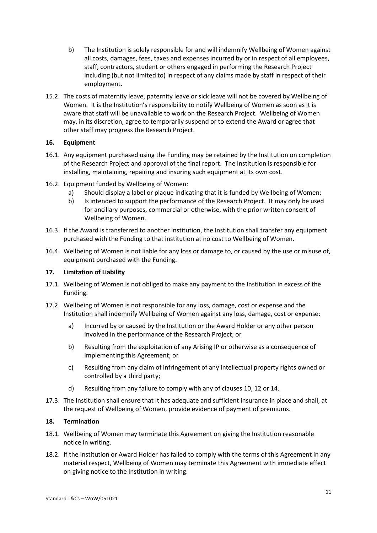- b) The Institution is solely responsible for and will indemnify Wellbeing of Women against all costs, damages, fees, taxes and expenses incurred by or in respect of all employees, staff, contractors, student or others engaged in performing the Research Project including (but not limited to) in respect of any claims made by staff in respect of their employment.
- 15.2. The costs of maternity leave, paternity leave or sick leave will not be covered by Wellbeing of Women. It is the Institution's responsibility to notify Wellbeing of Women as soon as it is aware that staff will be unavailable to work on the Research Project. Wellbeing of Women may, in its discretion, agree to temporarily suspend or to extend the Award or agree that other staff may progress the Research Project.

## **16. Equipment**

- 16.1. Any equipment purchased using the Funding may be retained by the Institution on completion of the Research Project and approval of the final report. The Institution is responsible for installing, maintaining, repairing and insuring such equipment at its own cost.
- 16.2. Equipment funded by Wellbeing of Women:
	- a) Should display a label or plaque indicating that it is funded by Wellbeing of Women;
	- b) Is intended to support the performance of the Research Project. It may only be used for ancillary purposes, commercial or otherwise, with the prior written consent of Wellbeing of Women.
- 16.3. If the Award is transferred to another institution, the Institution shall transfer any equipment purchased with the Funding to that institution at no cost to Wellbeing of Women.
- 16.4. Wellbeing of Women is not liable for any loss or damage to, or caused by the use or misuse of, equipment purchased with the Funding.

#### **17. Limitation of Liability**

- 17.1. Wellbeing of Women is not obliged to make any payment to the Institution in excess of the Funding.
- 17.2. Wellbeing of Women is not responsible for any loss, damage, cost or expense and the Institution shall indemnify Wellbeing of Women against any loss, damage, cost or expense:
	- a) Incurred by or caused by the Institution or the Award Holder or any other person involved in the performance of the Research Project; or
	- b) Resulting from the exploitation of any Arising IP or otherwise as a consequence of implementing this Agreement; or
	- c) Resulting from any claim of infringement of any intellectual property rights owned or controlled by a third party;
	- d) Resulting from any failure to comply with any of clauses [10,](#page-9-0) 12 or 14.
- 17.3. The Institution shall ensure that it has adequate and sufficient insurance in place and shall, at the request of Wellbeing of Women, provide evidence of payment of premiums.

#### **18. Termination**

- 18.1. Wellbeing of Women may terminate this Agreement on giving the Institution reasonable notice in writing.
- 18.2. If the Institution or Award Holder has failed to comply with the terms of this Agreement in any material respect, Wellbeing of Women may terminate this Agreement with immediate effect on giving notice to the Institution in writing.